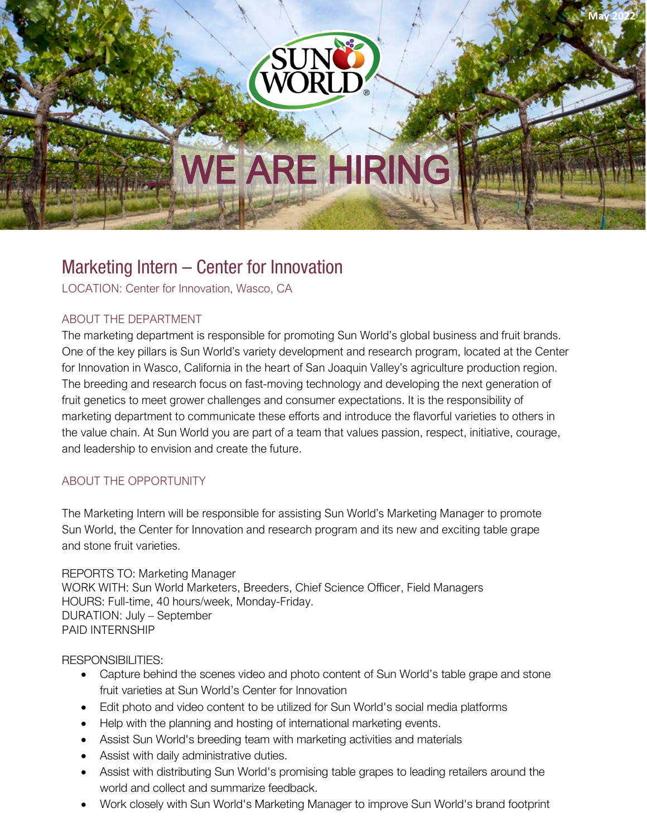**May 2022**

# **WE ARE HIRING**

## Marketing Intern – Center for Innovation

LOCATION: Center for Innovation, Wasco, CA

#### ABOUT THE DEPARTMENT

The marketing department is responsible for promoting Sun World's global business and fruit brands. One of the key pillars is Sun World's variety development and research program, located at the Center for Innovation in Wasco, California in the heart of San Joaquin Valley's agriculture production region. The breeding and research focus on fast-moving technology and developing the next generation of fruit genetics to meet grower challenges and consumer expectations. It is the responsibility of marketing department to communicate these efforts and introduce the flavorful varieties to others in the value chain. At Sun World you are part of a team that values passion, respect, initiative, courage, and leadership to envision and create the future.

### ABOUT THE OPPORTUNITY

The Marketing Intern will be responsible for assisting Sun World's Marketing Manager to promote Sun World, the Center for Innovation and research program and its new and exciting table grape and stone fruit varieties.

REPORTS TO: Marketing Manager WORK WITH: Sun World Marketers, Breeders, Chief Science Officer, Field Managers HOURS: Full-time, 40 hours/week, Monday-Friday. DURATION: July – September PAID INTERNSHIP

RESPONSIBILITIES:

- Capture behind the scenes video and photo content of Sun World's table grape and stone fruit varieties at Sun World's Center for Innovation
- Edit photo and video content to be utilized for Sun World's social media platforms
- Help with the planning and hosting of international marketing events.
- Assist Sun World's breeding team with marketing activities and materials
- Assist with daily administrative duties.
- Assist with distributing Sun World's promising table grapes to leading retailers around the world and collect and summarize feedback.
- Work closely with Sun World's Marketing Manager to improve Sun World's brand footprint